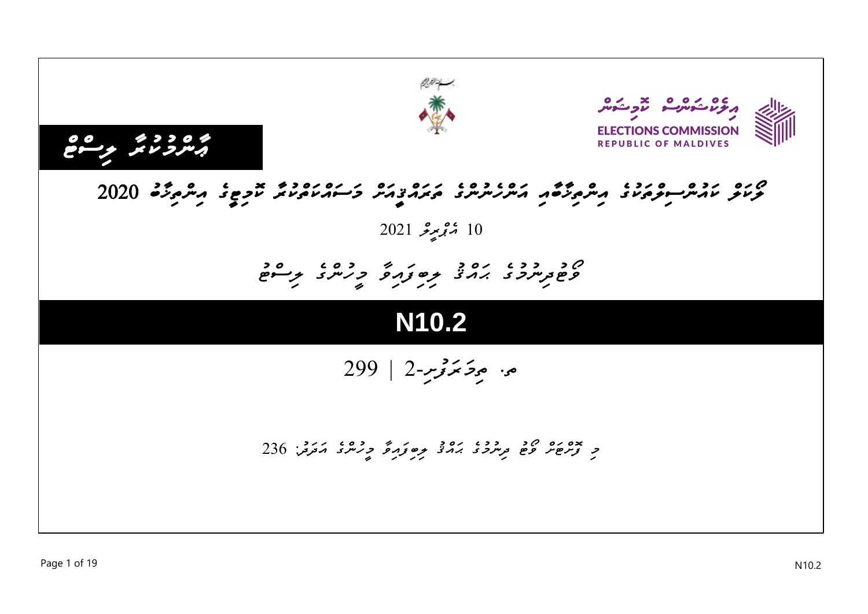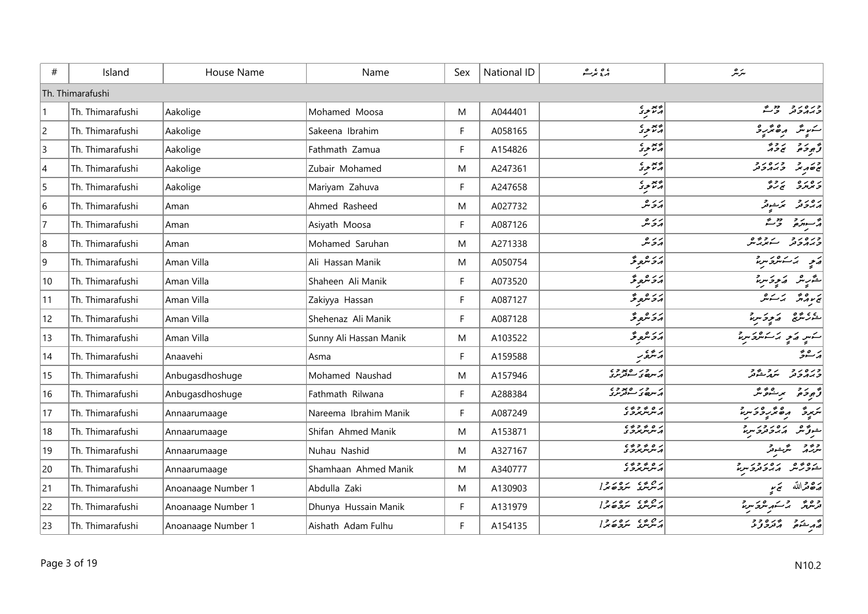| #              | Island           | House Name         | Name                   | Sex       | National ID | ، ه ، ره<br>مربح بمرت                   | يترمثر                                                     |
|----------------|------------------|--------------------|------------------------|-----------|-------------|-----------------------------------------|------------------------------------------------------------|
|                | Th. Thimarafushi |                    |                        |           |             |                                         |                                                            |
|                | Th. Thimarafushi | Aakolige           | Mohamed Moosa          | M         | A044401     | پر بر م<br>در مانوی                     | درمیه<br>و ره ر د<br>تر پر ژمر                             |
| $\overline{c}$ | Th. Thimarafushi | Aakolige           | Sakeena Ibrahim        | F         | A058165     | پرسمبر ۽<br>مرسمبر                      | اسەرىتىر<br>——<br>ەرھ ئ <sup>ۆ</sup> ر ۋ                   |
| $\overline{3}$ | Th. Thimarafushi | Aakolige           | Fathmath Zamua         | F         | A154826     | پر<br>مرسم مربر                         | ا تو پر د<br>پر و پر<br>مخ <del>و</del> د                  |
| 4              | Th. Thimarafushi | Aakolige           | Zubair Mohamed         | M         | A247361     | لمحبور                                  | و ر ه ر و<br><i>و پر</i> و تر<br>ح ئەرىر<br>مى             |
| 5              | Th. Thimarafushi | Aakolige           | Mariyam Zahuva         | F         | A247658     | پرسمبر ي<br>مرسمبر ي                    | ر ه ر ه<br><del>و</del> بربرو<br>ىر 3 ش<br>ىخ مرك          |
| $\sqrt{6}$     | Th. Thimarafushi | Aman               | Ahmed Rasheed          | M         | A027732     | ەر ە                                    | ر ەر د برخوش<br><mark>ئ</mark> رىرو بىرىنى <sub>ق</sub> ىر |
| $\overline{7}$ | Th. Thimarafushi | Aman               | Asiyath Moosa          | F         | A087126     | ەر ە                                    | أثر سيرترح ويستمر                                          |
| 8              | Th. Thimarafushi | Aman               | Mohamed Saruhan        | M         | A271338     | ەر ە                                    | سەپرىرىش<br>و ر ه ر د<br>تر پر ژ تر                        |
| $\overline{9}$ | Th. Thimarafushi | Aman Villa         | Ali Hassan Manik       | ${\sf M}$ | A050754     | ر ر<br>مەز شرە مۇ                       | أەسمجە سىكە يىككە ئىرىد                                    |
| 10             | Th. Thimarafushi | Aman Villa         | Shaheen Ali Manik      | F         | A073520     | ىر ئەھرى <b>گ</b> ە                     | شَرِيرْ كَمْ وَسَرِيرْ                                     |
| 11             | Th. Thimarafushi | Aman Villa         | Zakiyya Hassan         | F         | A087127     | ر ره په دمخه<br>مرکز مرکز               | ئى مەرگە ئەسكەنلەر                                         |
| 12             | Th. Thimarafushi | Aman Villa         | Shehenaz Ali Manik     | F         | A087128     | أرزه هرځه                               | كالمحادثة المتحفظ المستعمر                                 |
| 13             | Th. Thimarafushi | Aman Villa         | Sunny Ali Hassan Manik | M         | A103522     | ر<br>مەر ش <sub>ى</sub> بە ئە           | كمس وكمج وكمستور المرد                                     |
| 14             | Th. Thimarafushi | Anaavehi           | Asma                   | F         | A159588     | ر<br>مرتثر خر ب                         | ىرەپچ                                                      |
| 15             | Th. Thimarafushi | Anbugasdhoshuge    | Mohamed Naushad        | ${\sf M}$ | A157946     | ر<br>تەسرى كەسىۋىرىرى                   | ىئە ئەشقىر<br>و ر ه ر د<br>تر پر ژ تر                      |
| 16             | Th. Thimarafushi | Anbugasdhoshuge    | Fathmath Rilwana       | F         | A288384     | ر<br>پرسرچي سوترس                       | قەرە بېرىشقەت                                              |
| 17             | Th. Thimarafushi | Annaarumaage       | Nareema Ibrahim Manik  | F         | A087249     | ر ۵ ۶ ۶ ۶ و.<br>مرس مربو د              | سَعرِرَّ                                                   |
| 18             | Th. Thimarafushi | Annaarumaage       | Shifan Ahmed Manik     | ${\sf M}$ | A153871     | ر ۵ ۶ ۶ ۶ و.<br>مرس مربر <del>ر</del> ۶ | جوړه د پروترو سره<br>مشور شهر مدد سره                      |
| 19             | Th. Thimarafushi | Annaarumaage       | Nuhau Nashid           | M         | A327167     | ر ه ۶ و ۶ و<br>د سرسربرو د              | برمج تم مگرىشەنگر                                          |
| 20             | Th. Thimarafushi | Annaarumaage       | Shamhaan Ahmed Manik   | M         | A340777     | ر ه ۶ و ۶ و<br>د سرسربرو د              | رەم ئەرەردىر                                               |
| 21             | Th. Thimarafushi | Anoanaage Number 1 | Abdulla Zaki           | M         | A130903     | 7 مريد عدد 12                           | مَ صَحْرَاللّهِ يَمْ بِهِ                                  |
| 22             | Th. Thimarafushi | Anoanaage Number 1 | Dhunya Hussain Manik   | F         | A131979     | رەپ بەدە 1                              | و ه پر<br>ترس<br>بر کے مریکے سربر                          |
| 23             | Th. Thimarafushi | Anoanaage Number 1 | Aishath Adam Fulhu     | F.        | A154135     | رەپ بوە 12                              | و در وره دور<br>مگر شوه گرگرونو                            |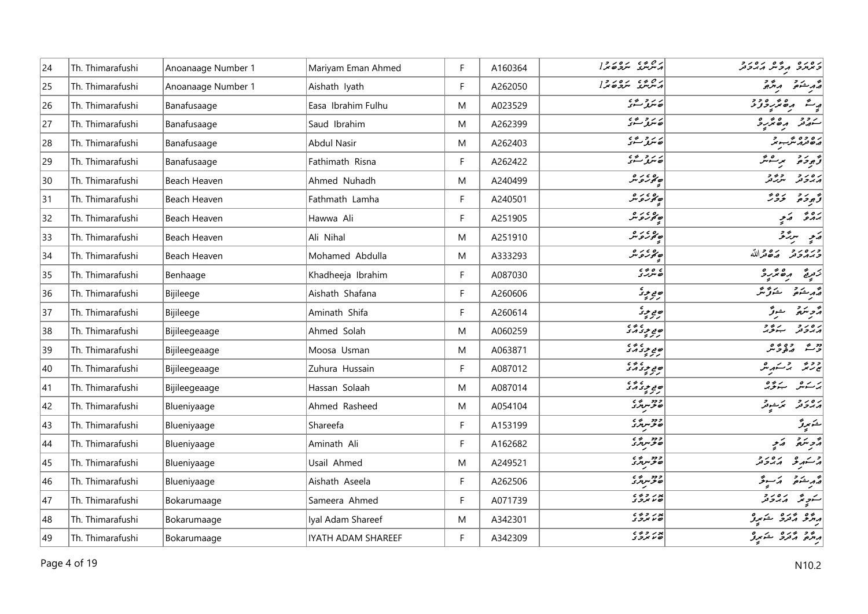| 24 | Th. Thimarafushi | Anoanaage Number 1 | Mariyam Eman Ahmed | F. | A160364 | أرقيعي بروبردا                        | ן פים היישה הפים.<br>המתכנית ההיישי         |
|----|------------------|--------------------|--------------------|----|---------|---------------------------------------|---------------------------------------------|
| 25 | Th. Thimarafushi | Anoanaage Number 1 | Aishath Iyath      | F  | A262050 | رەپ برە ئەل                           | أمر المستحقى المراجح                        |
| 26 | Th. Thimarafushi | Banafusaage        | Easa Ibrahim Fulhu | M  | A023529 | ە ئىرۇپىيى                            | ديد ده ندور                                 |
| 27 | Th. Thimarafushi | Banafusaage        | Saud Ibrahim       | Μ  | A262399 | پر بر دیږي<br>ت <i>ه مترنې</i> سر     | ستهتر مصريرة                                |
| 28 | Th. Thimarafushi | Banafusaage        | <b>Abdul Nasir</b> | M  | A262403 | پر بر دید و.<br>ج <i>ه مترو ش</i> و   | رە دە شەر                                   |
| 29 | Th. Thimarafushi | Banafusaage        | Fathimath Risna    | F  | A262422 | ە ئەر ئەي                             | أزودة برسنتر                                |
| 30 | Th. Thimarafushi | Beach Heaven       | Ahmed Nuhadh       | M  | A240499 | ھەمجە ئەھەتتە                         | ر ہ ر د د و د<br>پربروتر سربرتر             |
| 31 | Th. Thimarafushi | Beach Heaven       | Fathmath Lamha     | F. | A240501 | ە ئەرەپىر<br>م                        | تؤجروهم تزور                                |
| 32 | Th. Thimarafushi | Beach Heaven       | Hawwa Ali          | F. | A251905 | ە ئەرەپىر<br>مەمرىرىتىر               | ره د کړ                                     |
| 33 | Th. Thimarafushi | Beach Heaven       | Ali Nihal          | M  | A251910 | ە ئەر ئەر ئىر<br>ئ                    | أەيجە البررمى                               |
| 34 | Th. Thimarafushi | Beach Heaven       | Mohamed Abdulla    | M  | A333293 | پەنزىر ق                              | وره رو ده مرالله                            |
| 35 | Th. Thimarafushi | Benhaage           | Khadheeja Ibrahim  | F  | A087030 | ې و د ،<br>حامرنري                    | كَتَبِيعٌ مِنْ مُحَبِيدٌ                    |
| 36 | Th. Thimarafushi | Bijileege          | Aishath Shafana    | F  | A260606 | ھ قريق<br>مرمز پير                    | ۇرىش <i>ۇ شۆڭ</i> ىر                        |
| 37 | Th. Thimarafushi | Bijileege          | Aminath Shifa      | F  | A260614 | ھ جو پور<br>حرم پور                   | أأرجو سنرقر                                 |
| 38 | Th. Thimarafushi | Bijileegeaage      | Ahmed Solah        | M  | A060259 | ه و و د ه و و<br>مو و و د د و         | ره ر و در و<br>پرسرتر سنور                  |
| 39 | Th. Thimarafushi | Bijileegeaage      | Moosa Usman        | M  | A063871 | $rac{c}{s}$                           | در ده ده م                                  |
| 40 | Th. Thimarafushi | Bijileegeaage      | Zuhura Hussain     | F. | A087012 | ے پر پر پر پر<br>بربر پر پر پر        | جرجۇ بەر شەمرىش                             |
| 41 | Th. Thimarafushi | Bijileegeaage      | Hassan Solaah      | M  | A087014 | ه د ع د د و د<br>گرم د د د د          | ىز سەش سەۋە                                 |
| 42 | Th. Thimarafushi | Blueniyaage        | Ahmed Rasheed      | M  | A054104 | وود دي<br>حوس دي                      | د ه د چې سخندونکر<br>  د برخونکر په سخت پخت |
| 43 | Th. Thimarafushi | Blueniyaage        | Shareefa           | F. | A153199 | و دو به دی<br>ه تر سرد د              | شەمبەرىگە<br>ئ                              |
| 44 | Th. Thimarafushi | Blueniyaage        | Aminath Ali        | F  | A162682 | و دو په په<br><i>ه نو</i> سرد ک       | أأدمتهم أأو                                 |
| 45 | Th. Thimarafushi | Blueniyaage        | Usail Ahmed        | M  | A249521 | د در پرې<br><i>ه</i> تر سرد ک         | أرمستهر ومتحفر                              |
| 46 | Th. Thimarafushi | Blueniyaage        | Aishath Aseela     | F  | A262506 | ودو دی<br>حوس پر                      | ە بەيدە ئەسىرى<br>مەرسىم                    |
| 47 | Th. Thimarafushi | Bokarumaage        | Sameera Ahmed      | F. | A071739 | پر ر د ه ،<br><i>ه تا برد د</i>       | سَوِيرٌ دَرُوتر                             |
| 48 | Th. Thimarafushi | Bokarumaage        | Iyal Adam Shareef  | M  | A342301 | پر ر د پر د<br><i>ه د بر د</i> د      | أرجوه وبره خربرو                            |
| 49 | Th. Thimarafushi | Bokarumaage        | IYATH ADAM SHAREEF | F. | A342309 | پر روپ<br><i>هنا</i> برو <sub>ک</sub> | أماره أراده الشميرو                         |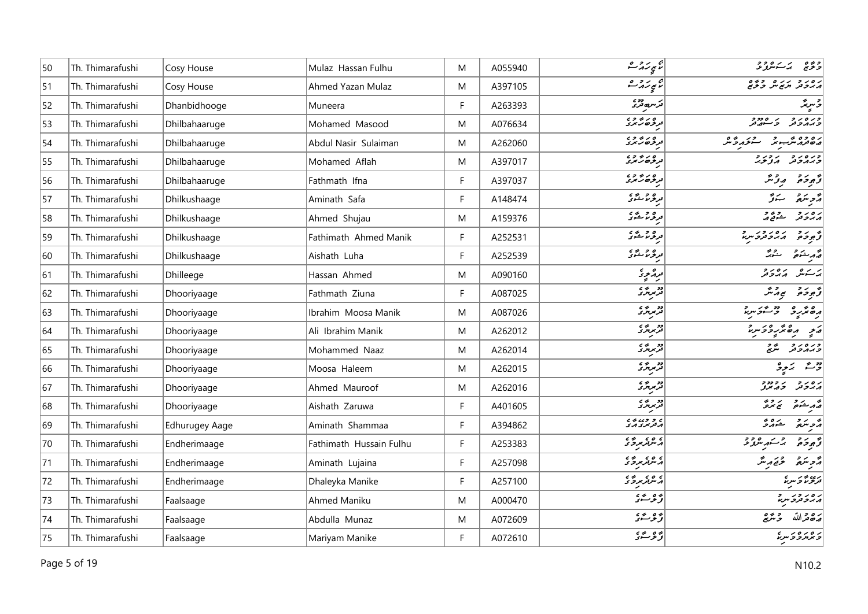| 50 | Th. Thimarafushi | Cosy House            | Mulaz Hassan Fulhu      | M  | A055940 | ئ <sub>ىم</sub> پر تر 2                | ووه پر شهرو                               |
|----|------------------|-----------------------|-------------------------|----|---------|----------------------------------------|-------------------------------------------|
| 51 | Th. Thimarafushi | Cosy House            | Ahmed Yazan Mulaz       | M  | A397105 | ء <sub>نیم</sub> پر جمہ ہے             | נ פיני נינים וכשים<br>גלבת תהמיל ביבה     |
| 52 | Th. Thimarafushi | Dhanbidhooge          | Muneera                 | F  | A263393 | ترسره وو ،                             | ۇ بىرىگە                                  |
| 53 | Th. Thimarafushi | Dhilbahaaruge         | Mohamed Masood          | M  | A076634 | ه در ۶ و ۷<br>درمون تر بر <sub>ک</sub> | כנסנכ נסמכ<br>כמוכני ב-יומני              |
| 54 | Th. Thimarafushi | Dhilbahaaruge         | Abdul Nasir Sulaiman    | M  | A262060 | ه در و د د<br>درمر <i>ه ر</i> برد      | رە دەپرىترىيە ئەرگەر ئەر                  |
| 55 | Th. Thimarafushi | Dhilbahaaruge         | Mohamed Aflah           | M  | A397017 | ه د ه د بر و ،<br>درمون تر بر د        | כנסנפ גבנב<br><i>בג</i> מכט הציבי         |
| 56 | Th. Thimarafushi | Dhilbahaaruge         | Fathmath Ifna           | F  | A397037 | ه در ۶ و ۷<br>درگرفت تر بو ۲           | قەم ئەقتىر                                |
| 57 | Th. Thimarafushi | Dhilkushaage          | Aminath Safa            | F  | A148474 | و 2 و 2 دیم<br>ترنو را شو <sub>2</sub> | أأترجع سأر                                |
| 58 | Th. Thimarafushi | Dhilkushaage          | Ahmed Shujau            | M  | A159376 | دره و در پر پر<br>درمزم شور            | ره رو دور<br>پرېرتر شو <sub>قي</sub> پر   |
| 59 | Th. Thimarafushi | Dhilkushaage          | Fathimath Ahmed Manik   | F  | A252531 | و 2 و 2 دیم<br>ترنو را شو <sub>2</sub> | أوجوحه مدود ور                            |
| 60 | Th. Thimarafushi | Dhilkushaage          | Aishath Luha            | F. | A252539 | و 2 و پر پر د<br>تعري <i>ق مستوى</i>   | أمر المستحق المستورثة                     |
| 61 | Th. Thimarafushi | Dhilleege             | Hassan Ahmed            | M  | A090160 | وره و ء<br>مره و د                     | ير کي په در د                             |
| 62 | Th. Thimarafushi | Dhooriyaage           | Fathmath Ziuna          | F  | A087025 | دد<br>ترمریز <sub>ک</sub>              | توجدة بالمشكلة                            |
| 63 | Th. Thimarafushi | Dhooriyaage           | Ibrahim Moosa Manik     | M  | A087026 | دد<br>ترمربری                          | 0 x 0 x 0 x 0 x 0 x 0 x 0 x               |
| 64 | Th. Thimarafushi | Dhooriyaage           | Ali Ibrahim Manik       | M  | A262012 | دد<br>ترمربری                          | أموس مع مركز و كارير                      |
| 65 | Th. Thimarafushi | Dhooriyaage           | Mohammed Naaz           | M  | A262014 | دد<br>ترمردگ                           | وره دو په په                              |
| 66 | Th. Thimarafushi | Dhooriyaage           | Moosa Haleem            | M  | A262015 | دد<br>ترسر پر د                        | ژئے پر دی                                 |
| 67 | Th. Thimarafushi | Dhooriyaage           | Ahmed Mauroof           | M  | A262016 | دد<br>ترمربری                          | ر و د و د و دو و<br>مدرو د کرم ترو        |
| 68 | Th. Thimarafushi | Dhooriyaage           | Aishath Zaruwa          | F. | A401605 | دد<br>تر <sub>مر</sub> بر <sub>ک</sub> |                                           |
| 69 | Th. Thimarafushi | <b>Edhurugey Aage</b> | Aminath Shammaa         | F  | A394862 | ن و وړی دی<br>پرتر پرۍ پرۍ             | ړ پره ده ده.                              |
| 70 | Th. Thimarafushi | Endherimaage          | Fathimath Hussain Fulhu | F  | A253383 | ە ھەقرىر <i>ھى</i><br>مەسر قىرىر       | توجده بر المرامز                          |
| 71 | Th. Thimarafushi | Endherimaage          | Aminath Lujaina         | F  | A257098 | ، مروکر پر <sup>پر پ</sup>             | أأوسكم وتحفظ                              |
| 72 | Th. Thimarafushi | Endherimaage          | Dhaleyka Manike         | F  | A257100 | ، هوپر پر په<br>مربر پر پر             | ر در بر ر<br>تعرفتر ما کس سوردا           |
| 73 | Th. Thimarafushi | Faalsaage             | Ahmed Maniku            | M  | A000470 | ۇ ۋرىچ                                 | ر ە ر د ر د<br>ג ژ ژ تر ژ سربا            |
| 74 | Th. Thimarafushi | Faalsaage             | Abdulla Munaz           | M  | A072609 | ۇ ۋرىپى                                | <i>ح</i> صرالله<br>و شرح<br>و سرچ         |
| 75 | Th. Thimarafushi | Faalsaage             | Mariyam Manike          | F  | A072610 | ۇ ۋرىپى                                | ر ه ر ه ر په<br><del>د</del> بربرو د سربا |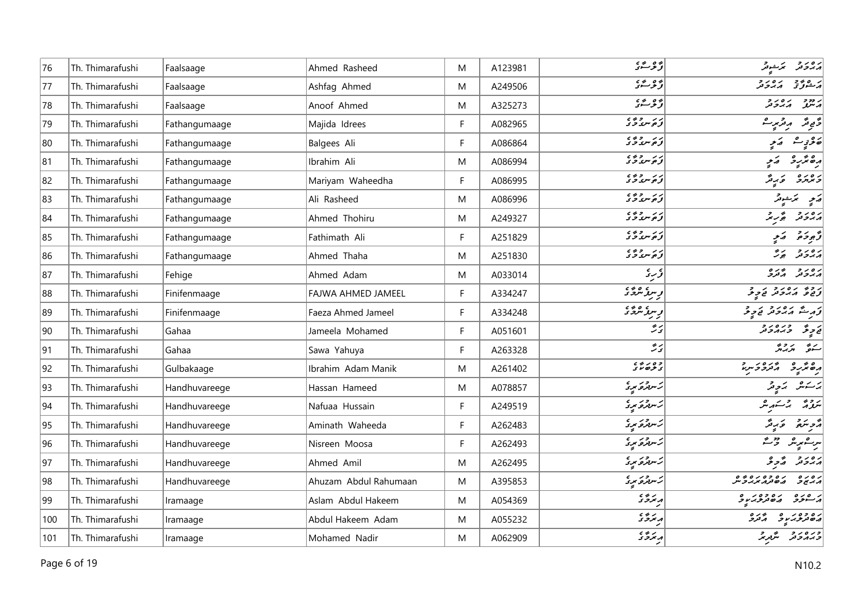| 76           | Th. Thimarafushi | Faalsaage     | Ahmed Rasheed         | M         | A123981 | ۇ ۋرىچ                                    | أبرور والمحدث                            |
|--------------|------------------|---------------|-----------------------|-----------|---------|-------------------------------------------|------------------------------------------|
| 77           | Th. Thimarafushi | Faalsaage     | Ashfag Ahmed          | M         | A249506 | ۇ ۋرىچ                                    | ر و و د و د و د<br>مشورٌ تو مر           |
| 78           | Th. Thimarafushi | Faalsaage     | Anoof Ahmed           | M         | A325273 | ۇ ۋرىچ                                    | بر دوم بره بر د                          |
| 79           | Th. Thimarafushi | Fathangumaage | Majida Idrees         | F.        | A082965 | ر ر د و » ،<br>توڅ سر ژ ژ د               | ۇ <sub>م</sub> وتر مەزىرى<br>مەسىر       |
| 80           | Th. Thimarafushi | Fathangumaage | Balgees Ali           | F         | A086864 | ر ر<br>زه سر د د د                        | ەۋىتى مەر                                |
| 81           | Th. Thimarafushi | Fathangumaage | Ibrahim Ali           | M         | A086994 | ر ر د و د ،<br><mark>ز</mark> بر رو د د   | دە ئەرە مەر                              |
| 82           | Th. Thimarafushi | Fathangumaage | Mariyam Waheedha      | F         | A086995 | ر ر بر د د ،<br><mark>ز</mark> بر ر د د د | رەرە كەيدىگە                             |
| 83           | Th. Thimarafushi | Fathangumaage | Ali Rasheed           | ${\sf M}$ | A086996 | ر ر د ده ،<br>ژه سر ژ ژ                   | أركمني المركب وتر                        |
| 84           | Th. Thimarafushi | Fathangumaage | Ahmed Thohiru         | M         | A249327 | ر ر به ده د<br>توکه سر ژگ                 | رەرد پەرىر                               |
| 85           | Th. Thimarafushi | Fathangumaage | Fathimath Ali         | F         | A251829 | ر ر د ده ،<br>زه سد ژ د                   | وًجوحا وكمع                              |
| 86           | Th. Thimarafushi | Fathangumaage | Ahmed Thaha           | M         | A251830 | ر ر<br>زه سر د د د                        | رەر دىر                                  |
| 87           | Th. Thimarafushi | Fehige        | Ahmed Adam            | M         | A033014 | ی<br>قرىرى                                | رەر دىرە                                 |
| 88           | Th. Thimarafushi | Finifenmaage  | FAJWA AHMED JAMEEL    | F         | A334247 | وسوعدة                                    | روه رورو روتى                            |
| 89           | Th. Thimarafushi | Finifenmaage  | Faeza Ahmed Jameel    | F         | A334248 | ى <sub>ر س</sub> وڭرىگە ئ                 | أزرك مرور و را و                         |
| $ 90\rangle$ | Th. Thimarafushi | Gahaa         | Jameela Mohamed       | F         | A051601 | ىزچ                                       | لتحريخ وبرورد                            |
| 91           | Th. Thimarafushi | Gahaa         | Sawa Yahuya           | F.        | A263328 | ىزچ                                       | ر په پروژ                                |
| 92           | Th. Thimarafushi | Gulbakaage    | Ibrahim Adam Manik    | M         | A261402 | و و ر پر ۽<br><sub>ک</sub> موڻ مو         | رە ئەر ئە ئەرە ئەر                       |
| 93           | Th. Thimarafushi | Handhuvareege | Hassan Hameed         | M         | A078857 | سر پرېمو سرچ                              | يُرَسَمَّسُ يَرْدِيْرُ                   |
| 94           | Th. Thimarafushi | Handhuvareege | Nafuaa Hussain        | F.        | A249519 | ر سرچر <sub>سر</sub> م                    | بتروژ بر شهر ش                           |
| 95           | Th. Thimarafushi | Handhuvareege | Aminath Waheeda       | F         | A262483 | ر سروگر <sub>مو</sub> ر                   | أأدح المتمريح وأراقه                     |
| 96           | Th. Thimarafushi | Handhuvareege | Nisreen Moosa         | F         | A262493 | ر سرچر <sub>سر</sub> م<br>ر               | سرڪي <sub>م</sub> بر وڃڻ                 |
| 97           | Th. Thimarafushi | Handhuvareege | Ahmed Amil            | M         | A262495 | ر سرچر <sub>محر</sub> ي                   | رەر ئەرۋ                                 |
| 98           | Th. Thimarafushi | Handhuvareege | Ahuzam Abdul Rahumaan | M         | A395853 | ر سر پر <sub>کا</sub> پر کا               | ر ه وه ر ه د ه<br>پره تربر بررگ<br>رەپرە |
| 99           | Th. Thimarafushi | Iramaage      | Aslam Abdul Hakeem    | M         | A054369 | د برو د<br>د برگ                          | ر ورو رەدەررە                            |
| 100          | Th. Thimarafushi | Iramaage      | Abdul Hakeem Adam     | M         | A055232 | <br>  مریمرژی                             | גם כפג פרי הבקב                          |
| 101          | Th. Thimarafushi | Iramaage      | Mohamed Nadir         | M         | A062909 | ويزوء                                     | ورەرو شەرو                               |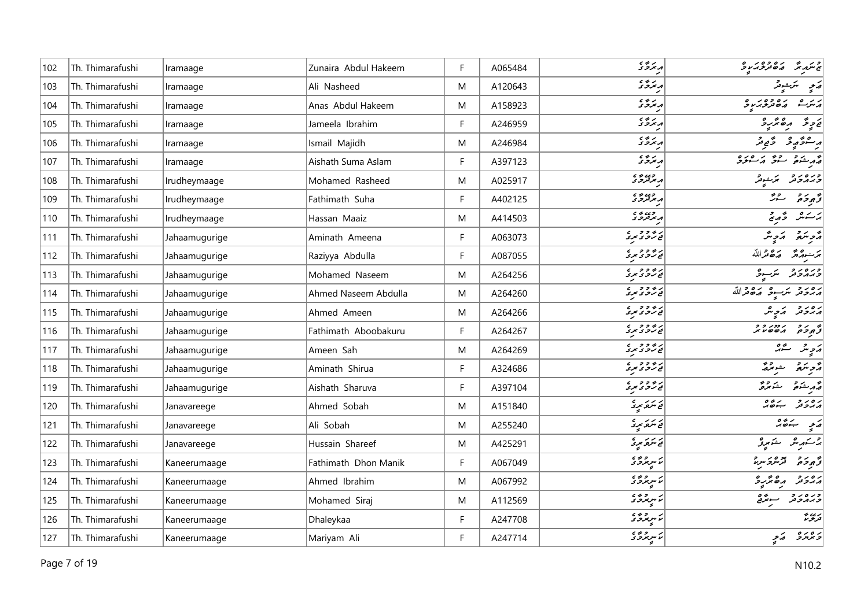| 102 | Th. Thimarafushi | Iramaage      | Zunaira Abdul Hakeem | F  | A065484 | د بوره د<br>م بورگ                |                                                                                                      |
|-----|------------------|---------------|----------------------|----|---------|-----------------------------------|------------------------------------------------------------------------------------------------------|
| 103 | Th. Thimarafushi | Iramaage      | Ali Nasheed          | M  | A120643 | و پروی                            | أركمني الكريشوقر                                                                                     |
| 104 | Th. Thimarafushi | Iramaage      | Anas Abdul Hakeem    | M  | A158923 | د برو د                           | ىر يىزىشە<br>ر ه و وه ر په و<br>پرې تر بور ک                                                         |
| 105 | Th. Thimarafushi | Iramaage      | Jameela Ibrahim      | F. | A246959 | د بوره د<br>د بورم                | مەھمەرد<br>تع تر تَرُّ                                                                               |
| 106 | Th. Thimarafushi | Iramaage      | Ismail Majidh        | M  | A246984 | بر بو د ،<br>بر بود د             | ر جۇم ئۇي ئىق                                                                                        |
| 107 | Th. Thimarafushi | Iramaage      | Aishath Suma Aslam   | F  | A397123 | د بود و<br>د بور و                | د در در در در ۲۵ دره<br>در شوی سوژ در سوژ                                                            |
| 108 | Th. Thimarafushi | Irudheymaage  | Mohamed Rasheed      | M  | A025917 | و ده بو د<br>در موتور و د         | ورەرو كەشوتە                                                                                         |
| 109 | Th. Thimarafushi | Irudheymaage  | Fathimath Suha       | F  | A402125 | و دره بو د<br>در موتور و د        | د و دو در                                                                                            |
| 110 | Th. Thimarafushi | Irudheymaage  | Hassan Maaiz         | M  | A414503 | و پره پر د<br>در موتور و          | برسەيىتە<br>ۇرىخ                                                                                     |
| 111 | Th. Thimarafushi | Jahaamugurige | Aminath Ameena       | F  | A063073 | ر ۶ و و<br>ق رگ و تو تو ت         | ړې سره پرې پر                                                                                        |
| 112 | Th. Thimarafushi | Jahaamugurige | Raziyya Abdulla      | F  | A087055 | ر ۶ و و<br>ق رو د مرد             | ترسم مركة الله                                                                                       |
| 113 | Th. Thimarafushi | Jahaamugurige | Mohamed Naseem       | M  | A264256 | ر ۶ و و<br>ح رو و مرد             | ورەرو شرىدۇ                                                                                          |
| 114 | Th. Thimarafushi | Jahaamugurige | Ahmed Naseem Abdulla | M  | A264260 | ر ۶ و و<br>بع ترن پی تیری         | أزورة ترجو أرقاقه الله                                                                               |
| 115 | Th. Thimarafushi | Jahaamugurige | Ahmed Ameen          | M  | A264266 | ر ۶ و و<br>ق رو و مرد             | أرجوجر أأتمح محر                                                                                     |
| 116 | Th. Thimarafushi | Jahaamugurige | Fathimath Aboobakuru | F. | A264267 | ر ۶ و و<br>ح رو و مرد             | 77777<br>وٌجوحه                                                                                      |
| 117 | Th. Thimarafushi | Jahaamugurige | Ameen Sah            | M  | A264269 | <br>  نے رکوی مری                 | أرَدٍ سَرَ اللَّهُ مِنْ السَّرْ مِنْ السَّرْ مِنْ السَّرْ مِنْ السَّرْ مِنْ السَّرْ مِنْ السَّرْ مِن |
| 118 | Th. Thimarafushi | Jahaamugurige | Aminath Shirua       | F  | A324686 | ر ۶ و و<br>ق رو د مرد             | ومحر سنو المستوجدة                                                                                   |
| 119 | Th. Thimarafushi | Jahaamugurige | Aishath Sharuva      | F. | A397104 | پر بر و و ر پر<br>  فن شرحری میری | ر<br>د گرم شومی<br>شە تەرگە                                                                          |
| 120 | Th. Thimarafushi | Janavareege   | Ahmed Sobah          | M  | A151840 | ئے سَرَتَدَ سِرِیْہِ              | ره رو بروه<br>پرېدونو ب                                                                              |
| 121 | Th. Thimarafushi | Janavareege   | Ali Sobah            | M  | A255240 | ئە ئىرى ئىرى<br>ئ                 | $rac{1}{200}$                                                                                        |
| 122 | Th. Thimarafushi | Janavareege   | Hussain Shareef      | M  | A425291 | <br>  نے مترک <sub>فر</sub> یزی   | 2 س <i>ەر شەھىر ۋ</i>                                                                                |
| 123 | Th. Thimarafushi | Kaneerumaage  | Fathimath Dhon Manik | F  | A067049 | ر<br>مأسو پر چ <sup>ر</sup> ی     | و څوخه د<br>بو ه پر ر <sup>و</sup><br>تر سربر                                                        |
| 124 | Th. Thimarafushi | Kaneerumaage  | Ahmed Ibrahim        | M  | A067992 | ر<br>مأسر پر ژبر                  | ر ەر د<br>ەھ ئەرى                                                                                    |
| 125 | Th. Thimarafushi | Kaneerumaage  | Mohamed Siraj        | M  | A112569 | ا پرېديز دي.<br>په پېښې           | سىدىگە<br>و ر ه ر د<br>د بر پر تر                                                                    |
| 126 | Th. Thimarafushi | Kaneerumaage  | Dhaleykaa            | F  | A247708 | ر<br>رأ سر بر ژ ی                 | ر ن پر<br>تونو تا                                                                                    |
| 127 | Th. Thimarafushi | Kaneerumaage  | Mariyam Ali          | F  | A247714 | ر<br>مأسر پر ژی                   | ر ه ر ه<br>د بربرگ<br>ەكىرىپە                                                                        |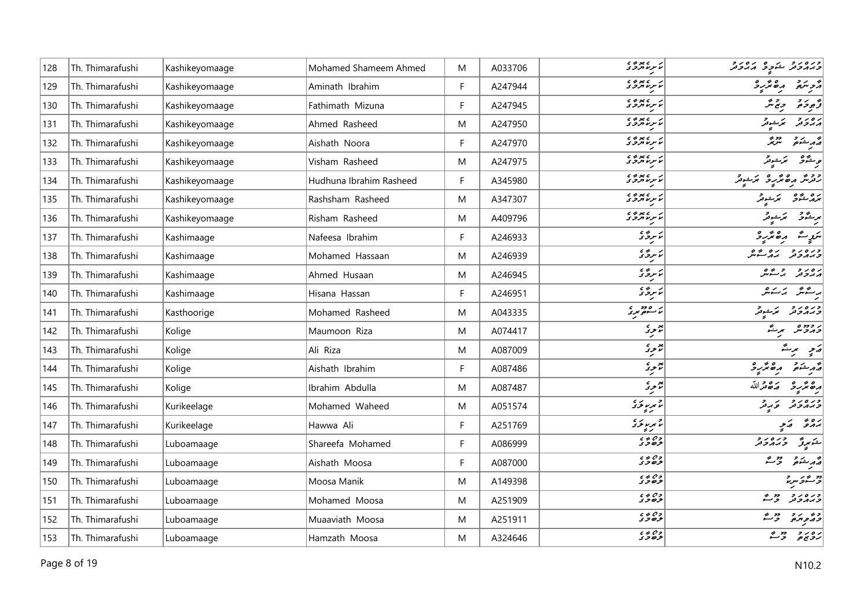| 128 | Th. Thimarafushi | Kashikeyomaage | Mohamed Shameem Ahmed   | M  | A033706 | ئەس ئەھ ئ                              | ورەرو شەرە مەدو                                                                                                   |
|-----|------------------|----------------|-------------------------|----|---------|----------------------------------------|-------------------------------------------------------------------------------------------------------------------|
| 129 | Th. Thimarafushi | Kashikeyomaage | Aminath Ibrahim         | F  | A247944 | ر می پیور می<br>ما مربر در در          | أأترسم وكالمرد                                                                                                    |
| 130 | Th. Thimarafushi | Kashikeyomaage | Fathimath Mizuna        | F  | A247945 | ر سره پرور<br>مرسم پرور                | و محمد حرم<br>اقرام حرم<br>جەنتىر                                                                                 |
| 131 | Th. Thimarafushi | Kashikeyomaage | Ahmed Rasheed           | M  | A247950 | ار پروژه<br>مارتوروز                   | رەرە ئەجەد                                                                                                        |
| 132 | Th. Thimarafushi | Kashikeyomaage | Aishath Noora           | F  | A247970 | ر میدود و<br>ما مربود و د              | و المراسط المعرفي المراسر                                                                                         |
| 133 | Th. Thimarafushi | Kashikeyomaage | Visham Rasheed          | M  | A247975 | ر پر پر دی<br>ماسر ماهرچری             | ويشكى مكرسونر                                                                                                     |
| 134 | Th. Thimarafushi | Kashikeyomaage | Hudhuna Ibrahim Rasheed | F  | A345980 | ر پر پر دی<br>ماسر ماهر <del>د</del> ر | ככל תפתור תייבת                                                                                                   |
| 135 | Th. Thimarafushi | Kashikeyomaage | Rashsham Rasheed        | M  | A347307 | ر<br>  را برنا در در<br> -             | ره ده ده<br>بروشوفر برشوتر                                                                                        |
| 136 | Th. Thimarafushi | Kashikeyomaage | Risham Rasheed          | M  | A409796 | پر پر پر پر<br>  پاسرپا مرکز پر        | المرتشكات المحرشوطر<br>المرتشكات                                                                                  |
| 137 | Th. Thimarafushi | Kashimaage     | Nafeesa Ibrahim         | F  | A246933 | ر<br>ما مرچ د                          | سَرٍتْ رەھمەر                                                                                                     |
| 138 | Th. Thimarafushi | Kashimaage     | Mohamed Hassaan         | M  | A246939 | ړ<br>تارود                             | ورەرو رەپ                                                                                                         |
| 139 | Th. Thimarafushi | Kashimaage     | Ahmed Husaan            | M  | A246945 | ر<br>ماسرچۍ                            | رەرو جەشر                                                                                                         |
| 140 | Th. Thimarafushi | Kashimaage     | Hisana Hassan           | F  | A246951 | ر<br>مأمور <sup>ي</sup>                | بالثقش الإسكاس                                                                                                    |
| 141 | Th. Thimarafushi | Kasthoorige    | Mohamed Rasheed         | M  | A043335 | ر ۶۶۵ و.<br>ما سوه مور                 | ورەرو كەشپەر                                                                                                      |
| 142 | Th. Thimarafushi | Kolige         | Maumoon Riza            | M  | A074417 | بو<br>ماھرى                            | ر دوده برگ                                                                                                        |
| 143 | Th. Thimarafushi | Kolige         | Ali Riza                | M  | A087009 | بو<br>مامور                            | ړې برگ                                                                                                            |
| 144 | Th. Thimarafushi | Kolige         | Aishath Ibrahim         | F  | A087486 | بو<br>مامور                            | ومرشو موجر                                                                                                        |
| 145 | Th. Thimarafushi | Kolige         | Ibrahim Abdulla         | M  | A087487 | لتعريجه                                | مصمح محصراته                                                                                                      |
| 146 | Th. Thimarafushi | Kurikeelage    | Mohamed Waheed          | M  | A051574 | د<br>ماسر پوځونه                       | وره دو کرد                                                                                                        |
| 147 | Th. Thimarafushi | Kurikeelage    | Hawwa Ali               | F  | A251769 | پرېدنو کړې<br>  سرچ                    | ره د کړ                                                                                                           |
| 148 | Th. Thimarafushi | Luboamaage     | Shareefa Mohamed        | F  | A086999 | و <i>0 ه</i> ی<br>مون و ی              | و ر ٥ ر و<br>تر پر تر تر                                                                                          |
| 149 | Th. Thimarafushi | Luboamaage     | Aishath Moosa           | F. | A087000 | و <i>0 ہ</i> ے ج<br>موضو ت             | و در در در در در در در کند.<br>مواله در سر در در در کند که در کند که در در کند و در کند و کند و کار در کار در کار |
| 150 | Th. Thimarafushi | Luboamaage     | Moosa Manik             | M  | A149398 | و <i>0 ه</i> ء<br>موھ <del>و</del> ي   | ارستان مرید<br>م                                                                                                  |
| 151 | Th. Thimarafushi | Luboamaage     | Mohamed Moosa           | M  | A251909 | و <i>0 ه</i> ء<br>موھ <del>و</del> ي   | وره دو دور                                                                                                        |
| 152 | Th. Thimarafushi | Luboamaage     | Muaaviath Moosa         | M  | A251911 | و <i>۵ پ</i> ه  ې<br>مرخه  د ک         | בלקתם בגי                                                                                                         |
| 153 | Th. Thimarafushi | Luboamaage     | Hamzath Moosa           | M  | A324646 | و <i>0 ہ</i> ے<br>موضو ت               | رەرد «ش                                                                                                           |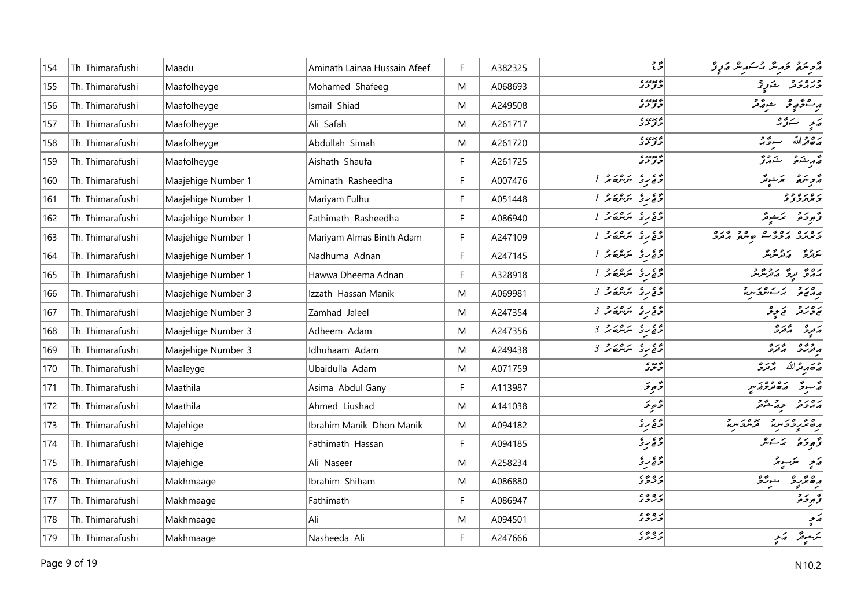| 154 | Th. Thimarafushi | Maadu              | Aminath Lainaa Hussain Afeef | F.        | A382325 | ?彡                                                                    | أأوسكم تحديثر برحتر بداريو                                          |
|-----|------------------|--------------------|------------------------------|-----------|---------|-----------------------------------------------------------------------|---------------------------------------------------------------------|
| 155 | Th. Thimarafushi | Maafolheyge        | Mohamed Shafeeg              | M         | A068693 | ه مورد ،<br><del>وگ</del> و و                                         | وبروبرو الشرورة                                                     |
| 156 | Th. Thimarafushi | Maafolheyge        | Ismail Shiad                 | M         | A249508 | ه مورد ،<br><del>وگ</del> و و                                         | والمتحفظ المستقار                                                   |
| 157 | Th. Thimarafushi | Maafolheyge        | Ali Safah                    | M         | A261717 | ە يىزى ئ<br>تركر ئىرى                                                 | أەسمج ستوفير                                                        |
| 158 | Th. Thimarafushi | Maafolheyge        | Abdullah Simah               | M         | A261720 | ەيدى ،<br>5 توغرى                                                     | مَدْهُ مَّرَاللَّهُ سُوَّرَ                                         |
| 159 | Th. Thimarafushi | Maafolheyge        | Aishath Shaufa               | F         | A261725 | ەيدى ،<br>5 تۇ ئى ي                                                   | وكرم شكرة والمستور                                                  |
| 160 | Th. Thimarafushi | Maajehige Number 1 | Aminath Rasheedha            | F.        | A007476 | د قرى تر شركة قرا                                                     | أأدوسكم أتكر الموافد                                                |
| 161 | Th. Thimarafushi | Maajehige Number 1 | Mariyam Fulhu                | F         | A051448 | وی دی مرکز میکند 1                                                    | ر ہ ر ہ و و<br><del>ر</del> بربرو تو تر                             |
| 162 | Th. Thimarafushi | Maajehige Number 1 | Fathimath Rasheedha          | F         | A086940 | دی دی مرکز صدر 1                                                      | قُرِ وَحَرَمُ مَرَ شَوِيَّرَ                                        |
| 163 | Th. Thimarafushi | Maajehige Number 1 | Mariyam Almas Binth Adam     | F         | A247109 | دی دی مره می د                                                        | גם גם גם כם פרק בגם<br>כינו <i>ניב</i> וגיבל פייט <sub>ב</sub> וגנב |
| 164 | Th. Thimarafushi | Maajehige Number 1 | Nadhuma Adnan                | F.        | A247145 | $\frac{1}{1}$ $\frac{3}{4}$ $\frac{6}{4}$ $\frac{6}{4}$ $\frac{6}{4}$ | ىروم بەرتەش                                                         |
| 165 | Th. Thimarafushi | Maajehige Number 1 | Hawwa Dheema Adnan           | F.        | A328918 | $\frac{1}{1}$ $\frac{2}{3}$ $\frac{6}{3}$ $\frac{6}{3}$ $\frac{6}{3}$ | رەۋ ب <sub>و</sub> ۇ <sub>م</sub> ەرشرىر                            |
| 166 | Th. Thimarafushi | Maajehige Number 3 | Izzath Hassan Manik          | M         | A069981 | وي دي مره دي 3                                                        |                                                                     |
| 167 | Th. Thimarafushi | Maajehige Number 3 | Zamhad Jaleel                | M         | A247354 | قىم بى ئىر ئىر قىلىم 3                                                | پروژنر   پے پرپی                                                    |
| 168 | Th. Thimarafushi | Maajehige Number 3 | Adheem Adam                  | M         | A247356 | وي دي سره مرکز 3                                                      | پور ہ<br>مرکزو<br> پر توری                                          |
| 169 | Th. Thimarafushi | Maajehige Number 3 | Idhuhaam Adam                | M         | A249438 | وی دی مرکز می 3                                                       | ەر تەرى<br>ەرگەر                                                    |
| 170 | Th. Thimarafushi | Maaleyge           | Ubaidulla Adam               | M         | A071759 | ە يە ،<br>ترمو ،                                                      | وكمصر فرالله ومحترفه                                                |
| 171 | Th. Thimarafushi | Maathila           | Asima Abdul Gany             | F.        | A113987 | ۇ بۇ                                                                  | ره وه د .<br>مەھ تر تر د<br>رمج سبوقر                               |
| 172 | Th. Thimarafushi | Maathila           | Ahmed Liushad                | M         | A141038 | قرموخه                                                                | رەرو جەرشەر                                                         |
| 173 | Th. Thimarafushi | Majehige           | Ibrahim Manik Dhon Manik     | M         | A094182 | ءِ ۽ پري<br>ح                                                         |                                                                     |
| 174 | Th. Thimarafushi | Majehige           | Fathimath Hassan             | F         | A094185 | ه په ري<br>تر فع مر تر                                                | ۋە ئەسەر                                                            |
| 175 | Th. Thimarafushi | Majehige           | Ali Naseer                   | ${\sf M}$ | A258234 | ی ء<br>ترقع سر تر                                                     | كابي الكرسوني                                                       |
| 176 | Th. Thimarafushi | Makhmaage          | Ibrahim Shiham               | M         | A086880 | ر ه و ،<br>د زد د                                                     | ے رُگو<br>ە ھەترىر <sup>ى</sup><br>رەھىرىرى                         |
| 177 | Th. Thimarafushi | Makhmaage          | Fathimath                    | F.        | A086947 | ر و و ء<br>5رو د                                                      | ۇ<br>ئۇمۇمۇ                                                         |
| 178 | Th. Thimarafushi | Makhmaage          | Ali                          | M         | A094501 | ر و و ء<br>5رو د                                                      | ړنو<br>د نور<br>نگرېنونگر د ټرمني                                   |
| 179 | Th. Thimarafushi | Makhmaage          | Nasheeda Ali                 | F         | A247666 | ر ه و ،<br>تر ژبر                                                     |                                                                     |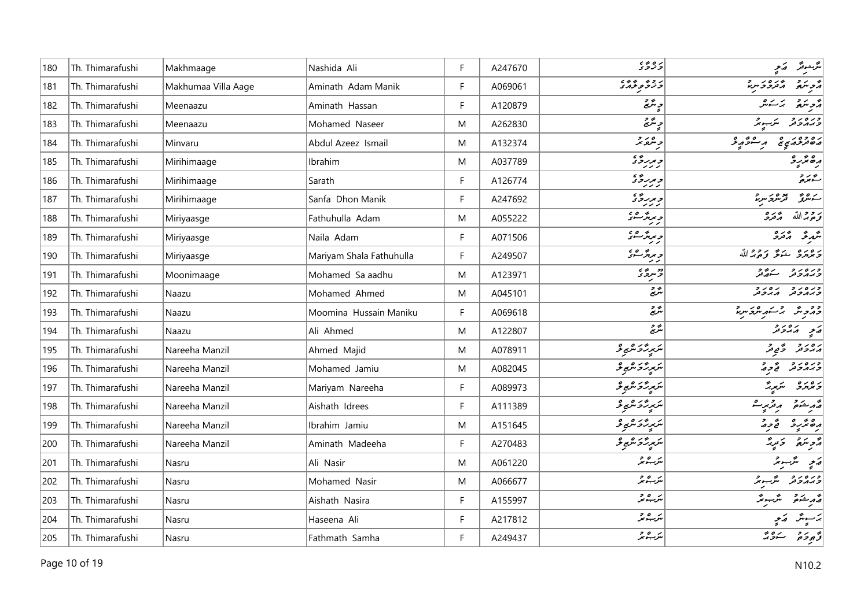| 180 | Th. Thimarafushi | Makhmaage           | Nashida Ali              | F. | A247670 | ر ه و ،<br>د ز د د          | ش د کرد.<br>سرشونگر کرد                               |
|-----|------------------|---------------------|--------------------------|----|---------|-----------------------------|-------------------------------------------------------|
| 181 | Th. Thimarafushi | Makhumaa Villa Aage | Aminath Adam Manik       | F  | A069061 | ر د و و ژوء<br>5 رقم قرار د | י גב יגניג<br>גביעת געבביטי                           |
| 182 | Th. Thimarafushi | Meenaazu            | Aminath Hassan           | F  | A120879 | حريثرنج                     | ړې سره پر کامل                                        |
| 183 | Th. Thimarafushi | Meenaazu            | Mohamed Naseer           | M  | A262830 | حريثرنج                     | ورەرو شب                                              |
| 184 | Th. Thimarafushi | Minvaru             | Abdul Azeez Ismail       | M  | A132374 | لرمورير                     | وستتخوخه<br>ر ه و و ر<br>پرځ ترڅه یې چ                |
| 185 | Th. Thimarafushi | Mirihimaage         | Ibrahim                  | M  | A037789 | د بررد د<br>ربر ر           | ە ھەترىرى<br>برھ ترىرى                                |
| 186 | Th. Thimarafushi | Mirihimaage         | Sarath                   | F  | A126774 | و بور و ؟<br>د بر ر         | سەدە                                                  |
| 187 | Th. Thimarafushi | Mirihimaage         | Sanfa Dhon Manik         | F  | A247692 | و برر دی<br>بربرگ           | سەمىر<br>بو ۵ پر ر <sup>و</sup>                       |
| 188 | Th. Thimarafushi | Miriyaasge          | Fathuhulla Adam          | M  | A055222 | اح بروژے<br>پر              | ترح و الله<br>پور ہ<br>مرکزو                          |
| 189 | Th. Thimarafushi | Miriyaasge          | Naila Adam               | F  | A071506 | حە بىر پىر مىسى<br>س        | سَّرِیَّ دَنَرَدَ                                     |
| 190 | Th. Thimarafushi | Miriyaasge          | Mariyam Shala Fathuhulla | F. | A249507 | ىر بىرە ئىسى<br>برىر        | رەرە بەيرى وج الله                                    |
| 191 | Th. Thimarafushi | Moonimaage          | Mohamed Sa aadhu         | M  | A123971 | יי<br>קייקבצ                | ور ہ ر و در و<br>تربر برتر مستقر                      |
| 192 | Th. Thimarafushi | Naazu               | Mohamed Ahmed            | M  | A045101 | سرَّج                       | כנסנכ נסנכ<br>כגמכת הגכת                              |
| 193 | Th. Thimarafushi | Naazu               | Moomina Hussain Maniku   | F  | A069618 | سرچ                         | ورومثر برسكر مركز مرتز                                |
| 194 | Th. Thimarafushi | Naazu               | Ali Ahmed                | M  | A122807 | سرّح                        | أەسم مەردى                                            |
| 195 | Th. Thimarafushi | Nareeha Manzil      | Ahmed Majid              | M  | A078911 | ﯩ <i>ﺰﯩﺮ ﺋﯘ ﺗ</i> ﯩﺮﯨ       | رەر ئەتەتر<br>مەرى ئىق                                |
| 196 | Th. Thimarafushi | Nareeha Manzil      | Mohamed Jamiu            | M  | A082045 | ىئە <i>پر ئەڭ ئىلى</i> ر ق  | ر ده.<br>مع <del>و</del> ه<br>ور ه ر د<br>تر پر تر تر |
| 197 | Th. Thimarafushi | Nareeha Manzil      | Mariyam Nareeha          | F  | A089973 | ىئىر ئەز ئىرى <sub>م</sub>  | ر ه ر ه<br><del>ر</del> بربرگ                         |
| 198 | Th. Thimarafushi | Nareeha Manzil      | Aishath Idrees           | F  | A111389 | ىئە <i>پر ئەڭ بىرى</i> ج    | ىرىترىيەت<br>سرىقىيەت<br>و مر شو د<br>مرم مشومو       |
| 199 | Th. Thimarafushi | Nareeha Manzil      | Ibrahim Jamiu            | M  | A151645 | ىئە <i>پر ئەڭ ش</i> ېرى     | ە ھەترىرى<br>رەھىرىرى<br>و په ده.<br>د ک              |
| 200 | Th. Thimarafushi | Nareeha Manzil      | Aminath Madeeha          | F  | A270483 | ﯩ <i>ﺰﯩﺮ ﺋﯘ ﺩ</i> ﻣﺮﯨﺮ ﯞ    |                                                       |
| 201 | Th. Thimarafushi | Nasru               | Ali Nasir                | M  | A061220 | ىر بە جە<br>مىزىبە ئىر      | أرشح التنزير                                          |
| 202 | Th. Thimarafushi | Nasru               | Mohamed Nasir            | Μ  | A066677 | ىئەبەيىتى                   | و رە ر د<br><i>د بر</i> گرىز<br>بترجيه                |
| 203 | Th. Thimarafushi | Nasru               | Aishath Nasira           | F. | A155997 | ىئەبەيىتى                   | د مرکز شور میگر                                       |
| 204 | Th. Thimarafushi | Nasru               | Haseena Ali              | F  | A217812 | ىئەبەيىتى                   | ىز سەمىگە<br>ئە                                       |
| 205 | Th. Thimarafushi | Nasru               | Fathmath Samha           | F. | A249437 | ىئەبەيىتى                   | سەدىر<br>ۇ ب <sub>و</sub> ر بو                        |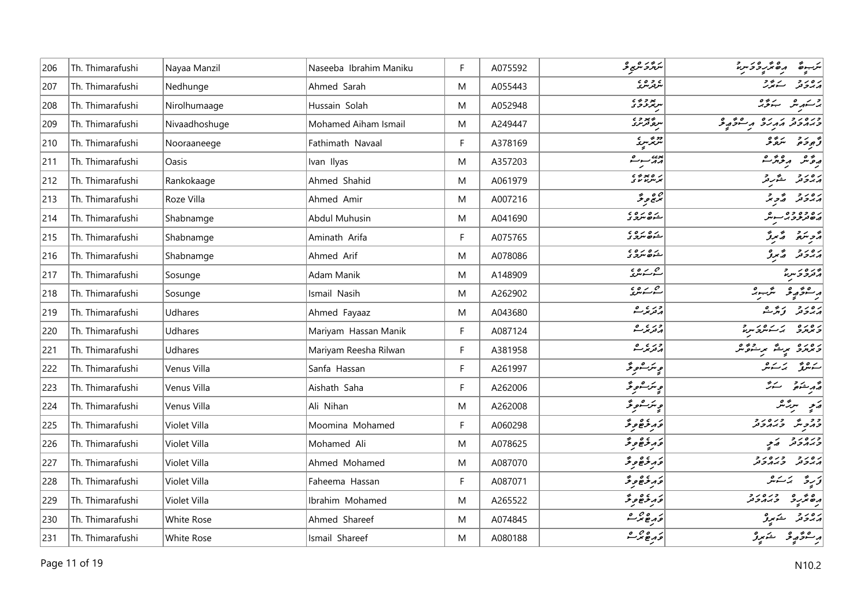| 206 | Th. Thimarafushi | Nayaa Manzil      | Naseeba Ibrahim Maniku | F         | A075592 | ىر ئەر مەسىم ب <mark>و</mark>                                                                                                                                                                                                                                                                                                                                                                                                     | ە ھەمەر 25 سرىد<br>بەھەمەر 25 س<br>ىئرىبە <i>ڭ</i> |
|-----|------------------|-------------------|------------------------|-----------|---------|-----------------------------------------------------------------------------------------------------------------------------------------------------------------------------------------------------------------------------------------------------------------------------------------------------------------------------------------------------------------------------------------------------------------------------------|----------------------------------------------------|
| 207 | Th. Thimarafushi | Nedhunge          | Ahmed Sarah            | M         | A055443 | ے و ہ ۽<br>سربرسر <sub>ک</sub>                                                                                                                                                                                                                                                                                                                                                                                                    | پر 2 پر 1<br>سەپۇر                                 |
| 208 | Th. Thimarafushi | Nirolhumaage      | Hussain Solah          | M         | A052948 | سر بو و بو د<br>سربورتو ی                                                                                                                                                                                                                                                                                                                                                                                                         | برسكهر شركر بكوكر                                  |
| 209 | Th. Thimarafushi | Nivaadhoshuge     | Mohamed Aiham Ismail   | M         | A249447 | ر پر د د ،<br>سرچ تر سر پر                                                                                                                                                                                                                                                                                                                                                                                                        | כממכת התגל תייכת ב                                 |
| 210 | Th. Thimarafushi | Nooraaneege       | Fathimath Navaal       | F         | A378169 | دو پر<br>سربر سرپر                                                                                                                                                                                                                                                                                                                                                                                                                | قَ وَجَعَ مَعَوَّفَر                               |
| 211 | Th. Thimarafushi | Oasis             | Ivan Ilyas             | M         | A357203 | جەبىر ھ                                                                                                                                                                                                                                                                                                                                                                                                                           | أمرة شهر وروشه                                     |
| 212 | Th. Thimarafushi | Rankokaage        | Ahmed Shahid           | ${\sf M}$ | A061979 | ر ٥ پر دي<br>برس لا ک                                                                                                                                                                                                                                                                                                                                                                                                             | پره د و په پیچر د                                  |
| 213 | Th. Thimarafushi | Roze Villa        | Ahmed Amir             | M         | A007216 | ە ە ھ<br>ئىرىنى ھ <sub>ە</sub> ق                                                                                                                                                                                                                                                                                                                                                                                                  | برەرو ئەدىر                                        |
| 214 | Th. Thimarafushi | Shabnamge         | <b>Abdul Muhusin</b>   | ${\sf M}$ | A041690 | ر <i>ه د ه ،</i><br>شو <i>ه مرو د</i>                                                                                                                                                                                                                                                                                                                                                                                             | ره وه وه وه<br>د ه ترود بر سوش                     |
| 215 | Th. Thimarafushi | Shabnamge         | Aminath Arifa          | F         | A075765 | ر ه ر ه ،<br>شو <i>ه مرد د</i>                                                                                                                                                                                                                                                                                                                                                                                                    | أأترسم أأتبرؤ                                      |
| 216 | Th. Thimarafushi | Shabnamge         | Ahmed Arif             | M         | A078086 | ر ده بره ،<br>شو <i>ه مرو د</i>                                                                                                                                                                                                                                                                                                                                                                                                   | برەر ئە ئەر                                        |
| 217 | Th. Thimarafushi | Sosunge           | <b>Adam Manik</b>      | M         | A148909 | <u>مرىمە يو ،</u>                                                                                                                                                                                                                                                                                                                                                                                                                 | پر ده بر سر د<br>پر تر ژ ژ سربا                    |
| 218 | Th. Thimarafushi | Sosunge           | Ismail Nasih           | ${\sf M}$ | A262902 | <u>م</u> مەمەر                                                                                                                                                                                                                                                                                                                                                                                                                    | وسفوه و                                            |
| 219 | Th. Thimarafushi | Udhares           | Ahmed Fayaaz           | M         | A043680 | د ر ، م<br>مرمرسه                                                                                                                                                                                                                                                                                                                                                                                                                 | رەرد رېژ                                           |
| 220 | Th. Thimarafushi | Udhares           | Mariyam Hassan Manik   | F         | A087124 | د ري ه<br>مر <sub>م مر</sub> ک                                                                                                                                                                                                                                                                                                                                                                                                    | במחכם המשתפיתי                                     |
| 221 | Th. Thimarafushi | Udhares           | Mariyam Reesha Rilwan  | F         | A381958 | ح پر پ <sub>ے</sub><br>مرموسہ                                                                                                                                                                                                                                                                                                                                                                                                     | ويرمرو بريئة برينتمرش                              |
| 222 | Th. Thimarafushi | Venus Villa       | Sanfa Hassan           | F         | A261997 | مەسىسى ئەرگە                                                                                                                                                                                                                                                                                                                                                                                                                      | سەھەر بەسەھ                                        |
| 223 | Th. Thimarafushi | Venus Villa       | Aishath Saha           | F         | A262006 | <sub>جە</sub> بىئرىش <sub>ى</sub> رىگە                                                                                                                                                                                                                                                                                                                                                                                            | ە ئەرىشى ئىسى ئىسى                                 |
| 224 | Th. Thimarafushi | Venus Villa       | Ali Nihan              | M         | A262008 | <sub>جە</sub> بىئە سىمىرىتىمە                                                                                                                                                                                                                                                                                                                                                                                                     | ړې سرگنگر                                          |
| 225 | Th. Thimarafushi | Violet Villa      | Moomina Mohamed        | F         | A060298 | ءَ ٻر ڏھ عر ٿُ                                                                                                                                                                                                                                                                                                                                                                                                                    | وړې پر<br>و ره ر و<br><i>و بر</i> و تر             |
| 226 | Th. Thimarafushi | Violet Villa      | Mohamed Ali            | ${\sf M}$ | A078625 | ءَ ٻر ڏھ عر ٿُ                                                                                                                                                                                                                                                                                                                                                                                                                    | ورەر د كمبر                                        |
| 227 | Th. Thimarafushi | Violet Villa      | Ahmed Mohamed          | ${\sf M}$ | A087070 | ئەر ئۇھ <sub>ى</sub> ر ئە                                                                                                                                                                                                                                                                                                                                                                                                         | נפגב בנסגב<br>גגבע בגגבע                           |
| 228 | Th. Thimarafushi | Violet Villa      | Faheema Hassan         | F         | A087071 | اپر وي وگړ<br>اف <sub>را</sub> رقيق وگړ                                                                                                                                                                                                                                                                                                                                                                                           | أَوْرِدُ بَرَسَمْسُ                                |
| 229 | Th. Thimarafushi | Violet Villa      | Ibrahim Mohamed        | ${\sf M}$ | A265522 | أقار بحقح حرقحه                                                                                                                                                                                                                                                                                                                                                                                                                   | ם מים כנסגב<br>תפתעה כמתכת                         |
| 230 | Th. Thimarafushi | <b>White Rose</b> | Ahmed Shareef          | M         | A074845 | ر وه چې <u>م</u>                                                                                                                                                                                                                                                                                                                                                                                                                  | برەر د<br>ے موثر                                   |
| 231 | Th. Thimarafushi | White Rose        | Ismail Shareef         | ${\sf M}$ | A080188 | $\begin{array}{c c} \hline \rule{0pt}{3ex} & \rule{0pt}{3ex} & \rule{0pt}{3ex} \\ \hline \rule{0pt}{3ex} & \rule{0pt}{3ex} & \rule{0pt}{3ex} \\ \hline \rule{0pt}{3ex} & \rule{0pt}{3ex} & \rule{0pt}{3ex} \\ \hline \rule{0pt}{3ex} & \rule{0pt}{3ex} & \rule{0pt}{3ex} \\ \hline \rule{0pt}{3ex} & \rule{0pt}{3ex} & \rule{0pt}{3ex} \\ \hline \rule{0pt}{3ex} & \rule{0pt}{3ex} & \rule{0pt}{3ex} \\ \hline \rule{0pt}{3ex} &$ | بر شرگوری کے پرو                                   |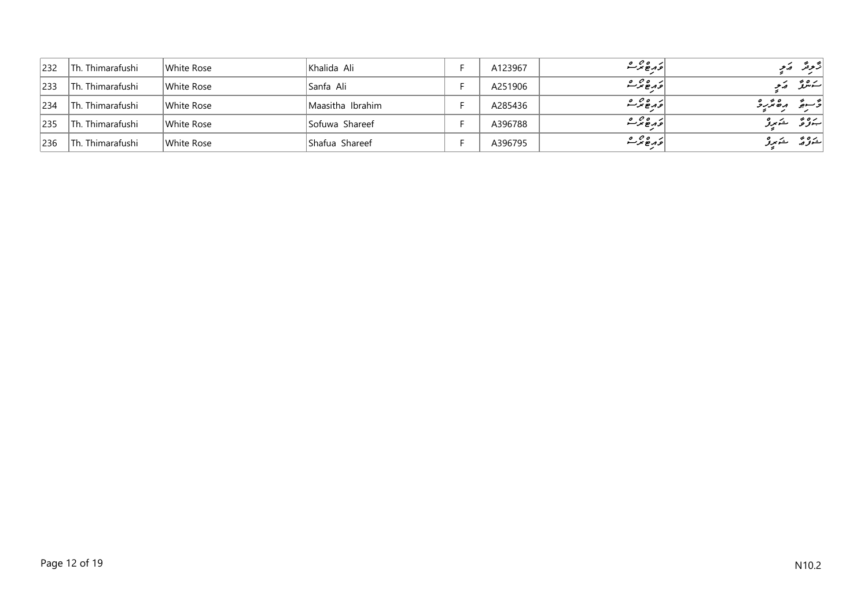| 232 | lTh. Thimarafushi | White Rose | Khalida Ali      | A123967 | ئەرھ بىر م | رَّ وتَرُ         |
|-----|-------------------|------------|------------------|---------|------------|-------------------|
| 233 | lTh. Thimarafushi | White Rose | Sanfa Ali        | A251906 | ئەرھ بىر م | سەھەتە            |
| 234 | lTh. Thimarafushi | White Rose | Maasitha Ibrahim | A285436 | ئەرەم بۇر  | ەھەرىرى<br>ۇ سەۋ  |
| 235 | lTh. Thimarafushi | White Rose | Sofuwa Shareef   | A396788 | ئەرھ بىر م | ىبتۇق<br>مشهرو    |
| 236 | lTh. Thimarafushi | White Rose | Shafua Shareef   | A396795 | ئەرەم بۇر  | شتۇرگە<br>مشكورثر |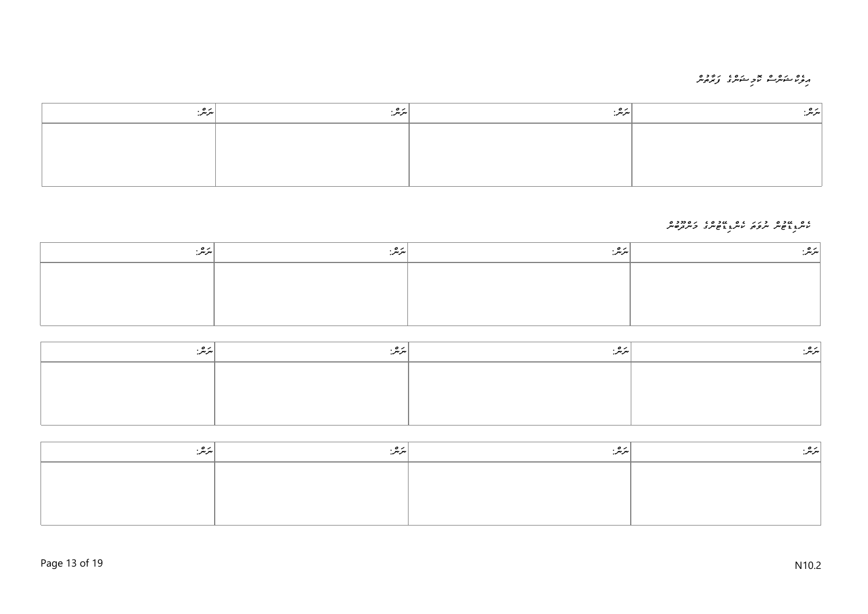## *w7qAn8m? sCw7mRo>u; wEw7mRw;sBo<*

| ' مرمر | 'يئرىثر: |
|--------|----------|
|        |          |
|        |          |
|        |          |

## *w7q9r@w7m> sCw7qHtFoFw7s; mAm=q7 w7qHtFoFw7s;*

| يە يە | $\frac{2}{n}$ | ىر تىر. | لترتثر |
|-------|---------------|---------|--------|
|       |               |         |        |
|       |               |         |        |
|       |               |         |        |

| $\frac{2}{n}$ | $\overline{\phantom{a}}$ | اير هنه. | $\mathcal{O} \times$<br>سرسر |
|---------------|--------------------------|----------|------------------------------|
|               |                          |          |                              |
|               |                          |          |                              |
|               |                          |          |                              |

| ' ئىرتىر: | سر سر |  |
|-----------|-------|--|
|           |       |  |
|           |       |  |
|           |       |  |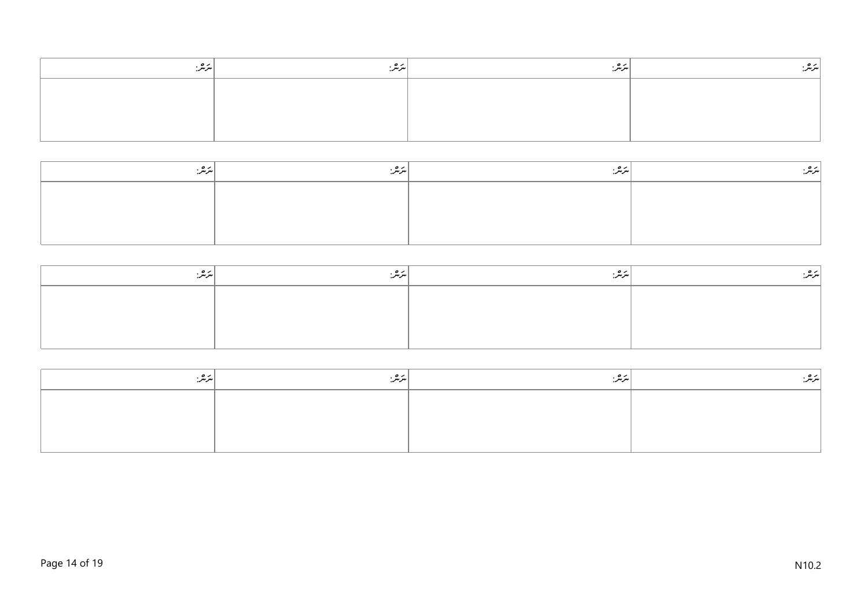| يزهر | $^{\circ}$ | ىئرىتر: |  |
|------|------------|---------|--|
|      |            |         |  |
|      |            |         |  |
|      |            |         |  |

| <sup>.</sup> سرسر. |  |
|--------------------|--|
|                    |  |
|                    |  |
|                    |  |

| ىئرىتر. | $\sim$ | ا بر هه. | لىرىش |
|---------|--------|----------|-------|
|         |        |          |       |
|         |        |          |       |
|         |        |          |       |

| $\overline{\phantom{a}}$<br>سرس. | ر ه<br>,,,<br>$\sim$ | . . | 。<br>سرس. |
|----------------------------------|----------------------|-----|-----------|
|                                  |                      |     |           |
|                                  |                      |     |           |
|                                  |                      |     |           |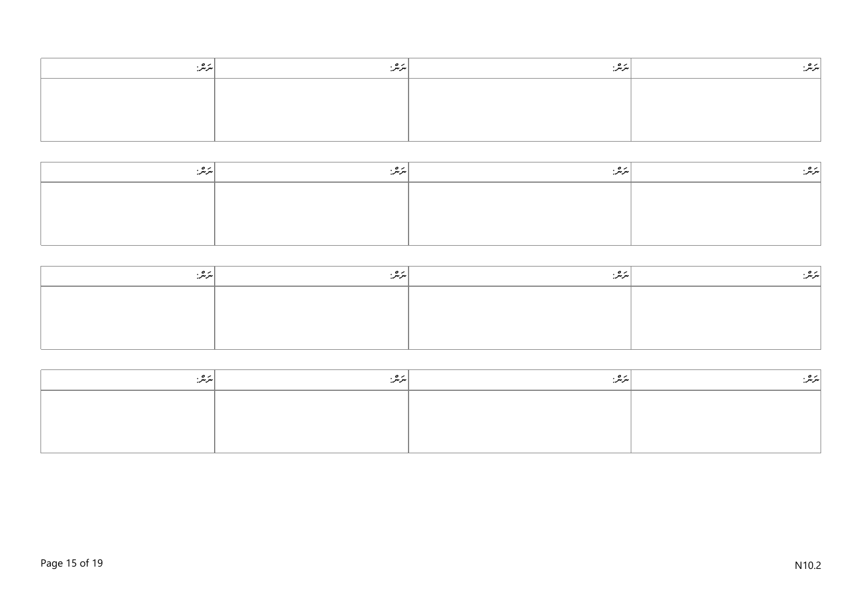| ير هو . | $\overline{\phantom{a}}$ | يرمر | اير هنه. |
|---------|--------------------------|------|----------|
|         |                          |      |          |
|         |                          |      |          |
|         |                          |      |          |

| ئىرتىر: | $\sim$<br>ا سرسر . | يئرمثر | o . |
|---------|--------------------|--------|-----|
|         |                    |        |     |
|         |                    |        |     |
|         |                    |        |     |

| لترتكر: | الترنثر: | ابر همه: | الترنثر: |
|---------|----------|----------|----------|
|         |          |          |          |
|         |          |          |          |
|         |          |          |          |

| 。 |  |  |
|---|--|--|
|   |  |  |
|   |  |  |
|   |  |  |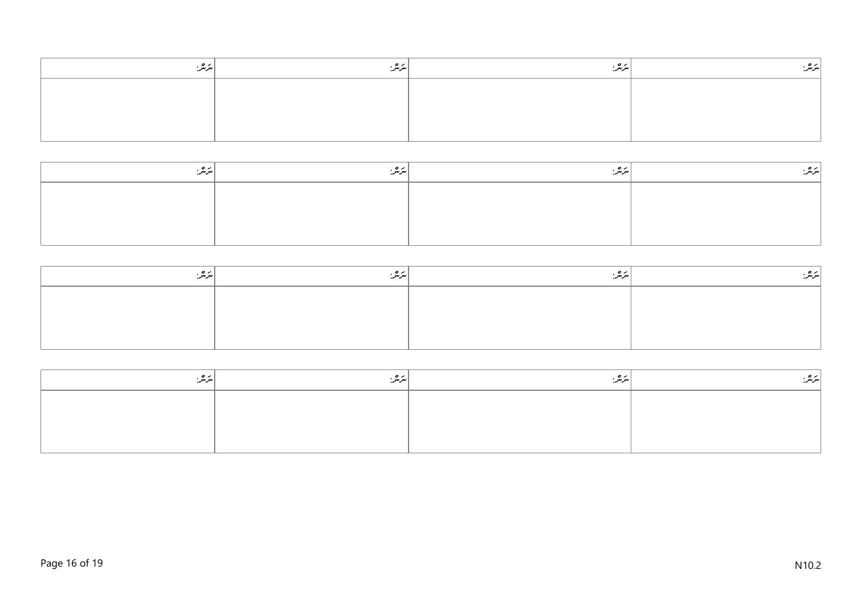| ير هو . | $\overline{\phantom{a}}$ | يرمر | اير هنه. |
|---------|--------------------------|------|----------|
|         |                          |      |          |
|         |                          |      |          |
|         |                          |      |          |

| ىر تىر: | $\circ$ $\sim$<br>" سرسر . | يبرحه | o . |
|---------|----------------------------|-------|-----|
|         |                            |       |     |
|         |                            |       |     |
|         |                            |       |     |

| نتزيتر به | 。 | 。<br>سمرسمد. | o <i>~</i> |
|-----------|---|--------------|------------|
|           |   |              |            |
|           |   |              |            |
|           |   |              |            |

|  | . ه |
|--|-----|
|  |     |
|  |     |
|  |     |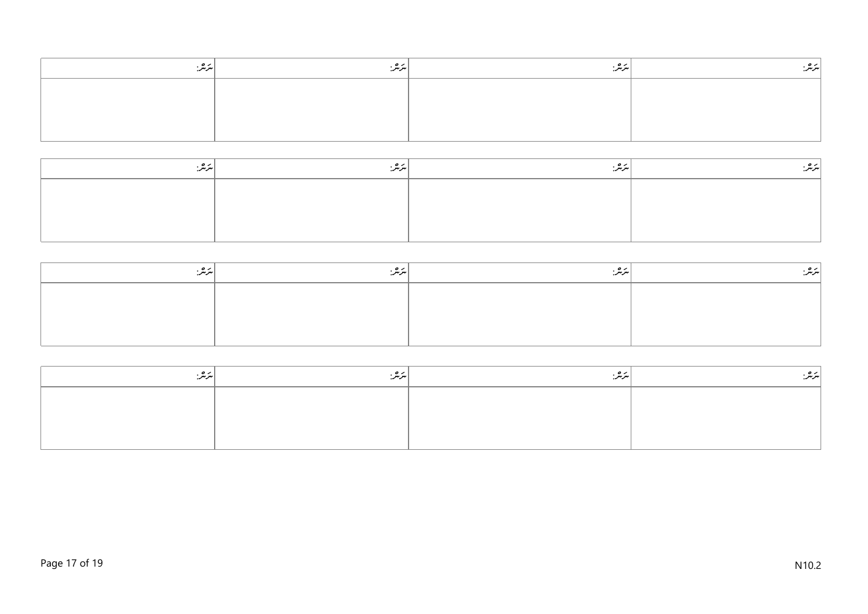| $\cdot$ | 。 | $\frac{\circ}{\cdot}$ | $\sim$<br>سرسر |
|---------|---|-----------------------|----------------|
|         |   |                       |                |
|         |   |                       |                |
|         |   |                       |                |

| يريثن | ' سرسر . |  |
|-------|----------|--|
|       |          |  |
|       |          |  |
|       |          |  |

| بر ه | . ه | $\sim$<br>سرسر |  |
|------|-----|----------------|--|
|      |     |                |  |
|      |     |                |  |
|      |     |                |  |

| 。<br>. س | ىرىىر |  |
|----------|-------|--|
|          |       |  |
|          |       |  |
|          |       |  |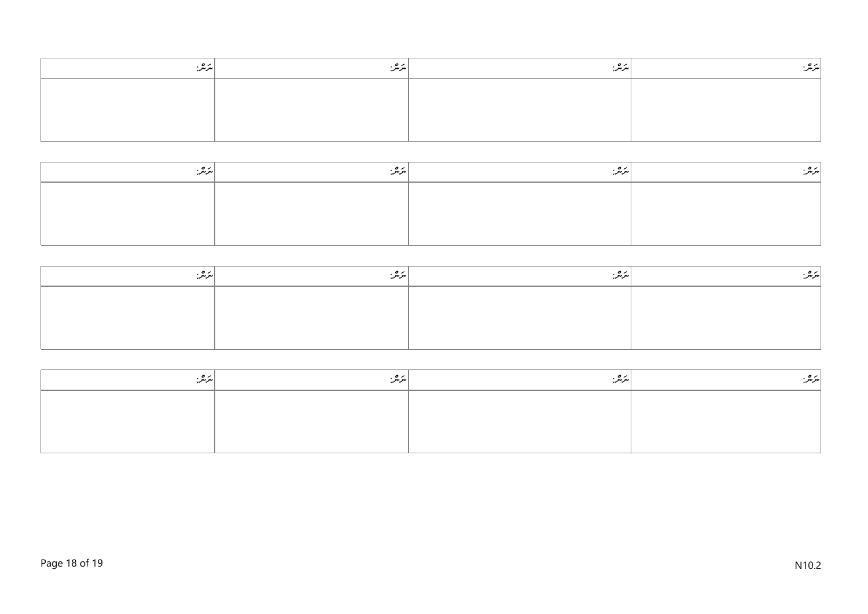| ير هو . | $\overline{\phantom{a}}$ | يرمر | اير هنه. |
|---------|--------------------------|------|----------|
|         |                          |      |          |
|         |                          |      |          |
|         |                          |      |          |

| ىئرىتى: | الترنثين | ا بر هر: | o <i>~</i><br>َ سرسر |
|---------|----------|----------|----------------------|
|         |          |          |                      |
|         |          |          |                      |
|         |          |          |                      |

| نتزيتر به | 。 | 。<br>سرسر. | o <i>~</i> |
|-----------|---|------------|------------|
|           |   |            |            |
|           |   |            |            |
|           |   |            |            |

|  | . ه |
|--|-----|
|  |     |
|  |     |
|  |     |